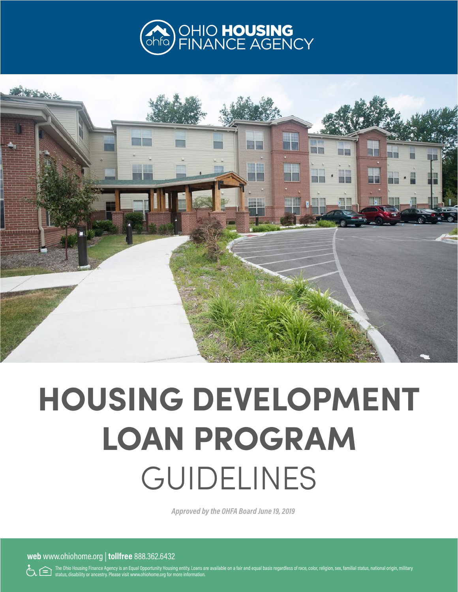



# **HOUSING DEVELOPMENT LOAN PROGRAM**  GUIDELINES

*Approved by the OHFA Board June 19, 2019*

**web** www.ohiohome.org | **tollfree** 888.362.6432

The Ohio Housing Finance Agency is an Equal Opportunity Housing entity. Loans are available on a fair and equal basis regardless of race, color, religion, sex, familial status, national origin, military status, disability or ancestry. Please visit www.ohiohome.org for more information.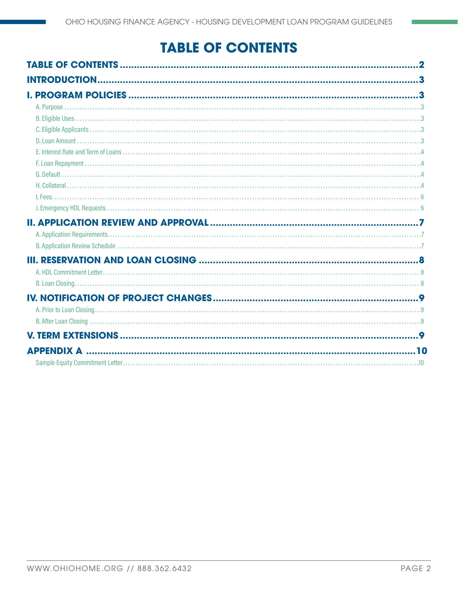# **TABLE OF CONTENTS**

| <b>APPENDIX A</b> |  |
|-------------------|--|
|                   |  |
|                   |  |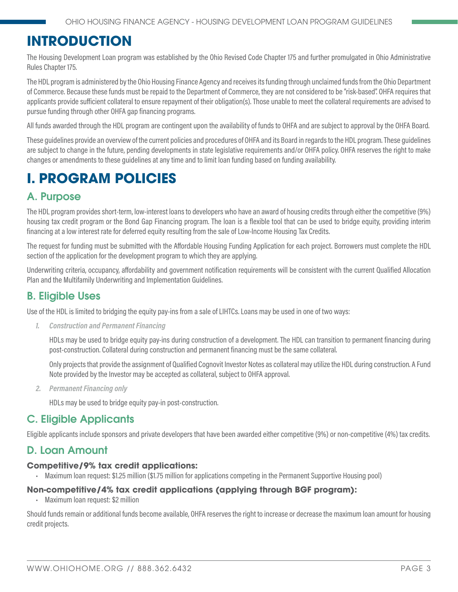# <span id="page-2-0"></span>**INTRODUCTION**

The Housing Development Loan program was established by the Ohio Revised Code Chapter 175 and further promulgated in Ohio Administrative Rules Chapter 175.

The HDL program is administered by the Ohio Housing Finance Agency and receives its funding through unclaimed funds from the Ohio Department of Commerce. Because these funds must be repaid to the Department of Commerce, they are not considered to be "risk-based". OHFA requires that applicants provide sufficient collateral to ensure repayment of their obligation(s). Those unable to meet the collateral requirements are advised to pursue funding through other OHFA gap financing programs.

All funds awarded through the HDL program are contingent upon the availability of funds to OHFA and are subject to approval by the OHFA Board.

These guidelines provide an overview of the current policies and procedures of OHFA and its Board in regards to the HDL program. These guidelines are subject to change in the future, pending developments in state legislative requirements and/or OHFA policy. OHFA reserves the right to make changes or amendments to these guidelines at any time and to limit loan funding based on funding availability.

# **I. PROGRAM POLICIES**

# A. Purpose

The HDL program provides short-term, low-interest loans to developers who have an award of housing credits through either the competitive (9%) housing tax credit program or the Bond Gap Financing program. The loan is a flexible tool that can be used to bridge equity, providing interim financing at a low interest rate for deferred equity resulting from the sale of Low-Income Housing Tax Credits.

The request for funding must be submitted with the Affordable Housing Funding Application for each project. Borrowers must complete the HDL section of the application for the development program to which they are applying.

Underwriting criteria, occupancy, affordability and government notification requirements will be consistent with the current Qualified Allocation Plan and the Multifamily Underwriting and Implementation Guidelines.

## B. Eligible Uses

Use of the HDL is limited to bridging the equity pay-ins from a sale of LIHTCs. Loans may be used in one of two ways:

*1. Construction and Permanent Financing*

HDLs may be used to bridge equity pay-ins during construction of a development. The HDL can transition to permanent financing during post-construction. Collateral during construction and permanent financing must be the same collateral.

Only projects that provide the assignment of Qualified Cognovit Investor Notes as collateral may utilize the HDL during construction. A Fund Note provided by the Investor may be accepted as collateral, subject to OHFA approval.

*2. Permanent Financing only*

HDLs may be used to bridge equity pay-in post-construction.

# C. Eligible Applicants

Eligible applicants include sponsors and private developers that have been awarded either competitive (9%) or non-competitive (4%) tax credits.

## D. Loan Amount

#### **Competitive/9% tax credit applications:**

• Maximum loan request: \$1.25 million (\$1.75 million for applications competing in the Permanent Supportive Housing pool)

#### **Non-competitive/4% tax credit applications (applying through BGF program):**

• Maximum loan request: \$2 million

Should funds remain or additional funds become available, OHFA reserves the right to increase or decrease the maximum loan amount for housing credit projects.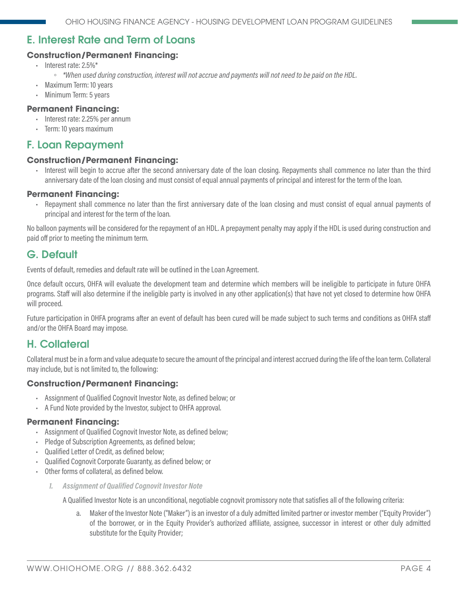# <span id="page-3-0"></span>E. Interest Rate and Term of Loans

#### **Construction/Permanent Financing:**

- Interest rate: 2.5%\*
	- *\*When used during construction, interest will not accrue and payments will not need to be paid on the HDL.*
- Maximum Term: 10 years
- Minimum Term: 5 years

#### **Permanent Financing:**

- Interest rate: 2.25% per annum
- Term: 10 years maximum

#### F. Loan Repayment

#### **Construction/Permanent Financing:**

• Interest will begin to accrue after the second anniversary date of the loan closing. Repayments shall commence no later than the third anniversary date of the loan closing and must consist of equal annual payments of principal and interest for the term of the loan.

#### **Permanent Financing:**

• Repayment shall commence no later than the first anniversary date of the loan closing and must consist of equal annual payments of principal and interest for the term of the loan.

No balloon payments will be considered for the repayment of an HDL. A prepayment penalty may apply if the HDL is used during construction and paid off prior to meeting the minimum term.

## G. Default

Events of default, remedies and default rate will be outlined in the Loan Agreement.

Once default occurs, OHFA will evaluate the development team and determine which members will be ineligible to participate in future OHFA programs. Staff will also determine if the ineligible party is involved in any other application(s) that have not yet closed to determine how OHFA will proceed.

Future participation in OHFA programs after an event of default has been cured will be made subject to such terms and conditions as OHFA staff and/or the OHFA Board may impose.

## H. Collateral

Collateral must be in a form and value adequate to secure the amount of the principal and interest accrued during the life of the loan term. Collateral may include, but is not limited to, the following:

#### **Construction/Permanent Financing:**

- Assignment of Qualified Cognovit Investor Note, as defined below; or
- A Fund Note provided by the Investor, subject to OHFA approval.

#### **Permanent Financing:**

- Assignment of Qualified Cognovit Investor Note, as defined below;
- Pledge of Subscription Agreements, as defined below;
- Qualified Letter of Credit, as defined below;
- Qualified Cognovit Corporate Guaranty, as defined below; or
- Other forms of collateral, as defined below.
	- *1. Assignment of Qualified Cognovit Investor Note*

A Qualified Investor Note is an unconditional, negotiable cognovit promissory note that satisfies all of the following criteria:

a. Maker of the Investor Note ("Maker") is an investor of a duly admitted limited partner or investor member ("Equity Provider") of the borrower, or in the Equity Provider's authorized affiliate, assignee, successor in interest or other duly admitted substitute for the Equity Provider;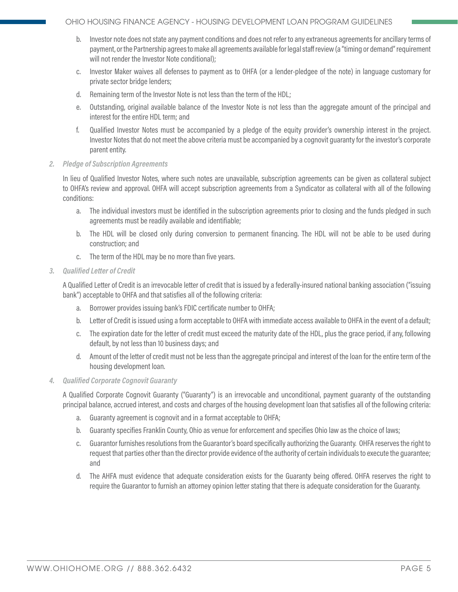- b. Investor note does not state any payment conditions and does not refer to any extraneous agreements for ancillary terms of payment, or the Partnership agrees to make all agreements available for legal staff review (a "timing or demand" requirement will not render the Investor Note conditional);
- c. Investor Maker waives all defenses to payment as to OHFA (or a lender-pledgee of the note) in language customary for private sector bridge lenders;
- d. Remaining term of the Investor Note is not less than the term of the HDL;
- e. Outstanding, original available balance of the Investor Note is not less than the aggregate amount of the principal and interest for the entire HDL term; and
- f. Qualified Investor Notes must be accompanied by a pledge of the equity provider's ownership interest in the project. Investor Notes that do not meet the above criteria must be accompanied by a cognovit guaranty for the investor's corporate parent entity.
- *2. Pledge of Subscription Agreements*

In lieu of Qualified Investor Notes, where such notes are unavailable, subscription agreements can be given as collateral subject to OHFA's review and approval. OHFA will accept subscription agreements from a Syndicator as collateral with all of the following conditions:

- a. The individual investors must be identified in the subscription agreements prior to closing and the funds pledged in such agreements must be readily available and identifiable;
- b. The HDL will be closed only during conversion to permanent financing. The HDL will not be able to be used during construction; and
- c. The term of the HDL may be no more than five years.
- *3. Qualified Letter of Credit*

A Qualified Letter of Credit is an irrevocable letter of credit that is issued by a federally-insured national banking association ("issuing bank") acceptable to OHFA and that satisfies all of the following criteria:

- a. Borrower provides issuing bank's FDIC certificate number to OHFA;
- b. Letter of Credit is issued using a form acceptable to OHFA with immediate access available to OHFA in the event of a default;
- c. The expiration date for the letter of credit must exceed the maturity date of the HDL, plus the grace period, if any, following default, by not less than 10 business days; and
- d. Amount of the letter of credit must not be less than the aggregate principal and interest of the loan for the entire term of the housing development loan.
- *4. Qualified Corporate Cognovit Guaranty*

A Qualified Corporate Cognovit Guaranty ("Guaranty") is an irrevocable and unconditional, payment guaranty of the outstanding principal balance, accrued interest, and costs and charges of the housing development loan that satisfies all of the following criteria:

- a. Guaranty agreement is cognovit and in a format acceptable to OHFA;
- b. Guaranty specifies Franklin County, Ohio as venue for enforcement and specifies Ohio law as the choice of laws;
- c. Guarantor furnishes resolutions from the Guarantor's board specifically authorizing the Guaranty. OHFA reserves the right to request that parties other than the director provide evidence of the authority of certain individuals to execute the guarantee; and
- d. The AHFA must evidence that adequate consideration exists for the Guaranty being offered. OHFA reserves the right to require the Guarantor to furnish an attorney opinion letter stating that there is adequate consideration for the Guaranty.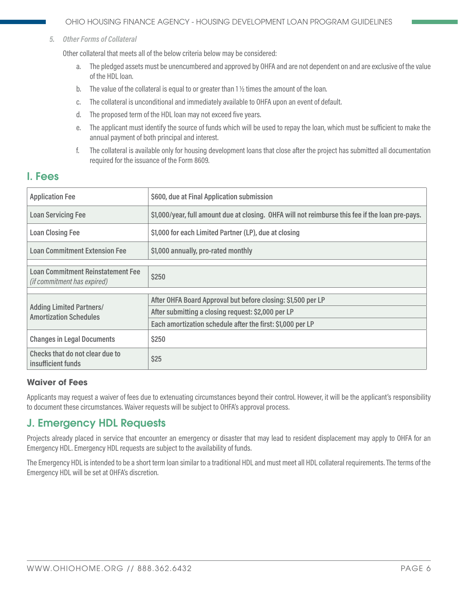<span id="page-5-0"></span>*5. Other Forms of Collateral*

Other collateral that meets all of the below criteria below may be considered:

- a. The pledged assets must be unencumbered and approved by OHFA and are not dependent on and are exclusive of the value of the HDL loan.
- b. The value of the collateral is equal to or greater than  $1\frac{1}{2}$  times the amount of the loan.
- c. The collateral is unconditional and immediately available to OHFA upon an event of default.
- d. The proposed term of the HDL loan may not exceed five years.
- e. The applicant must identify the source of funds which will be used to repay the loan, which must be sufficient to make the annual payment of both principal and interest.
- f. The collateral is available only for housing development loans that close after the project has submitted all documentation required for the issuance of the Form 8609.

## I. Fees

| <b>Application Fee</b>                                                         | \$600, due at Final Application submission                                                       |  |  |  |
|--------------------------------------------------------------------------------|--------------------------------------------------------------------------------------------------|--|--|--|
| <b>Loan Servicing Fee</b>                                                      | \$1,000/year, full amount due at closing. OHFA will not reimburse this fee if the loan pre-pays. |  |  |  |
| <b>Loan Closing Fee</b>                                                        | \$1,000 for each Limited Partner (LP), due at closing                                            |  |  |  |
| <b>Loan Commitment Extension Fee</b>                                           | \$1,000 annually, pro-rated monthly                                                              |  |  |  |
|                                                                                |                                                                                                  |  |  |  |
| <b>Loan Commitment Reinstatement Fee</b><br><i>(if commitment has expired)</i> | \$250                                                                                            |  |  |  |
|                                                                                |                                                                                                  |  |  |  |
| <b>Adding Limited Partners/</b><br><b>Amortization Schedules</b>               | After OHFA Board Approval but before closing: \$1,500 per LP                                     |  |  |  |
|                                                                                | After submitting a closing request: \$2,000 per LP                                               |  |  |  |
|                                                                                | Each amortization schedule after the first: \$1,000 per LP                                       |  |  |  |
| <b>Changes in Legal Documents</b>                                              | \$250                                                                                            |  |  |  |
| Checks that do not clear due to<br>insufficient funds                          | \$25                                                                                             |  |  |  |

#### **Waiver of Fees**

Applicants may request a waiver of fees due to extenuating circumstances beyond their control. However, it will be the applicant's responsibility to document these circumstances. Waiver requests will be subject to OHFA's approval process.

## J. Emergency HDL Requests

Projects already placed in service that encounter an emergency or disaster that may lead to resident displacement may apply to OHFA for an Emergency HDL. Emergency HDL requests are subject to the availability of funds.

The Emergency HDL is intended to be a short term loan similar to a traditional HDL and must meet all HDL collateral requirements. The terms of the Emergency HDL will be set at OHFA's discretion.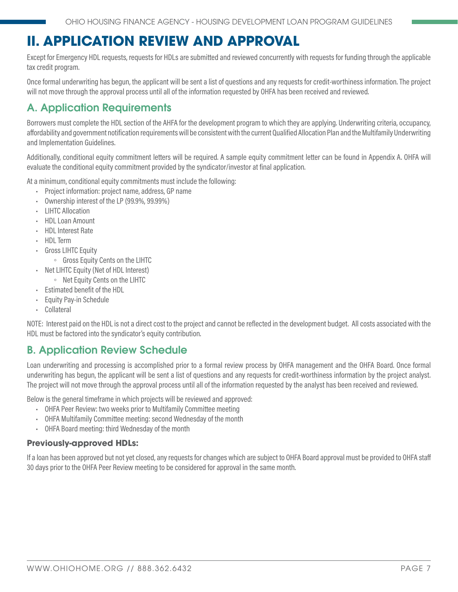# <span id="page-6-0"></span>**II. APPLICATION REVIEW AND APPROVAL**

Except for Emergency HDL requests, requests for HDLs are submitted and reviewed concurrently with requests for funding through the applicable tax credit program.

Once formal underwriting has begun, the applicant will be sent a list of questions and any requests for credit-worthiness information. The project will not move through the approval process until all of the information requested by OHFA has been received and reviewed.

# A. Application Requirements

Borrowers must complete the HDL section of the AHFA for the development program to which they are applying. Underwriting criteria, occupancy, affordability and government notification requirements will be consistent with the current Qualified Allocation Plan and the Multifamily Underwriting and Implementation Guidelines.

Additionally, conditional equity commitment letters will be required. A sample equity commitment letter can be found in Appendix A. OHFA will evaluate the conditional equity commitment provided by the syndicator/investor at final application.

At a minimum, conditional equity commitments must include the following:

- Project information: project name, address, GP name
- Ownership interest of the LP (99.9%, 99.99%)
- **LIHTC Allocation**
- HDL Loan Amount
- HDL Interest Rate
- HDL Term
- Gross LIHTC Equity
	- Gross Equity Cents on the LIHTC
- Net LIHTC Equity (Net of HDL Interest)
- Net Equity Cents on the LIHTC
- Estimated benefit of the HDL
- **Equity Pay-in Schedule**
- **Collateral**

NOTE: Interest paid on the HDL is not a direct cost to the project and cannot be reflected in the development budget. All costs associated with the HDL must be factored into the syndicator's equity contribution.

## B. Application Review Schedule

Loan underwriting and processing is accomplished prior to a formal review process by OHFA management and the OHFA Board. Once formal underwriting has begun, the applicant will be sent a list of questions and any requests for credit-worthiness information by the project analyst. The project will not move through the approval process until all of the information requested by the analyst has been received and reviewed.

Below is the general timeframe in which projects will be reviewed and approved:

- OHFA Peer Review: two weeks prior to Multifamily Committee meeting
- OHFA Multifamily Committee meeting: second Wednesday of the month
- OHFA Board meeting: third Wednesday of the month

#### **Previously-approved HDLs:**

If a loan has been approved but not yet closed, any requests for changes which are subject to OHFA Board approval must be provided to OHFA staff 30 days prior to the OHFA Peer Review meeting to be considered for approval in the same month.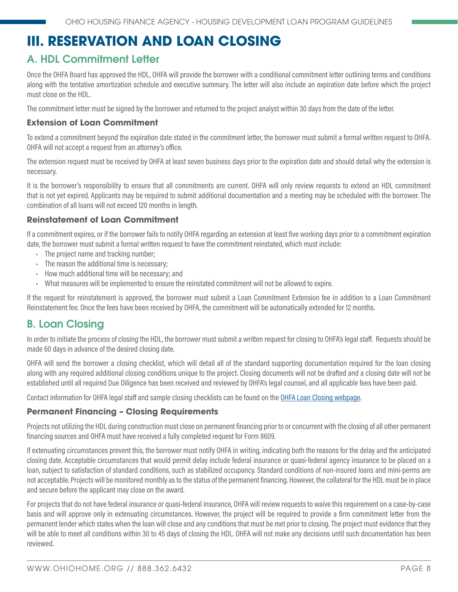# <span id="page-7-0"></span>**III. RESERVATION AND LOAN CLOSING**

# A. HDL Commitment Letter

Once the OHFA Board has approved the HDL, OHFA will provide the borrower with a conditional commitment letter outlining terms and conditions along with the tentative amortization schedule and executive summary. The letter will also include an expiration date before which the project must close on the HDL.

The commitment letter must be signed by the borrower and returned to the project analyst within 30 days from the date of the letter.

#### **Extension of Loan Commitment**

To extend a commitment beyond the expiration date stated in the commitment letter, the borrower must submit a formal written request to OHFA. OHFA will not accept a request from an attorney's office.

The extension request must be received by OHFA at least seven business days prior to the expiration date and should detail why the extension is necessary.

It is the borrower's responsibility to ensure that all commitments are current. OHFA will only review requests to extend an HDL commitment that is not yet expired. Applicants may be required to submit additional documentation and a meeting may be scheduled with the borrower. The combination of all loans will not exceed 120 months in length.

#### **Reinstatement of Loan Commitment**

If a commitment expires, or if the borrower fails to notify OHFA regarding an extension at least five working days prior to a commitment expiration date, the borrower must submit a formal written request to have the commitment reinstated, which must include:

- The project name and tracking number;
- The reason the additional time is necessary;
- How much additional time will be necessary; and
- What measures will be implemented to ensure the reinstated commitment will not be allowed to expire.

If the request for reinstatement is approved, the borrower must submit a Loan Commitment Extension fee in addition to a Loan Commitment Reinstatement fee. Once the fees have been received by OHFA, the commitment will be automatically extended for 12 months.

## B. Loan Closing

In order to initiate the process of closing the HDL, the borrower must submit a written request for closing to OHFA's legal staff. Requests should be made 60 days in advance of the desired closing date.

OHFA will send the borrower a closing checklist, which will detail all of the standard supporting documentation required for the loan closing along with any required additional closing conditions unique to the project. Closing documents will not be drafted and a closing date will not be established until all required Due Diligence has been received and reviewed by OHFA's legal counsel, and all applicable fees have been paid.

Contact information for OHFA legal staff and sample closing checklists can be found on the [OHFA Loan Closing webpage.](http://ohiohome.org/ppd/legal.aspx)

#### **Permanent Financing – Closing Requirements**

Projects not utilizing the HDL during construction must close on permanent financing prior to or concurrent with the closing of all other permanent financing sources and OHFA must have received a fully completed request for Form 8609.

If extenuating circumstances prevent this, the borrower must notify OHFA in writing, indicating both the reasons for the delay and the anticipated closing date. Acceptable circumstances that would permit delay include federal insurance or quasi-federal agency insurance to be placed on a loan, subject to satisfaction of standard conditions, such as stabilized occupancy. Standard conditions of non-insured loans and mini-perms are not acceptable. Projects will be monitored monthly as to the status of the permanent financing. However, the collateral for the HDL must be in place and secure before the applicant may close on the award.

For projects that do not have federal insurance or quasi-federal insurance, OHFA will review requests to waive this requirement on a case-by-case basis and will approve only in extenuating circumstances. However, the project will be required to provide a firm commitment letter from the permanent lender which states when the loan will close and any conditions that must be met prior to closing. The project must evidence that they will be able to meet all conditions within 30 to 45 days of closing the HDL. OHFA will not make any decisions until such documentation has been reviewed.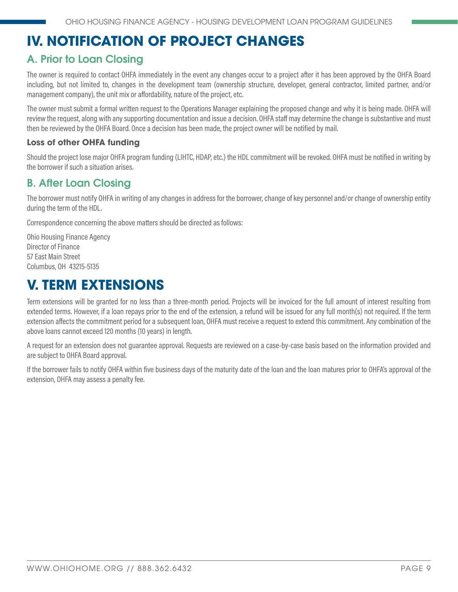# <span id="page-8-0"></span>**IV. NOTIFICATION OF PROJECT CHANGES**

# A. Prior to Loan Closing

The owner is required to contact OHFA immediately in the event any changes occur to a project after it has been approved by the OHFA Board including, but not limited to, changes in the development team (ownership structure, developer, general contractor, limited partner, and/or management company), the unit mix or affordability, nature of the project, etc.

The owner must submit a formal written request to the Operations Manager explaining the proposed change and why it is being made. OHFA will review the request, along with any supporting documentation and issue a decision. OHFA staff may determine the change is substantive and must then be reviewed by the OHFA Board. Once a decision has been made, the project owner will be notified by mail.

#### **Loss of other OHFA funding**

Should the project lose major OHFA program funding (LIHTC, HDAP, etc.) the HDL commitment will be revoked. OHFA must be notified in writing by the borrower if such a situation arises.

# B. After Loan Closing

The borrower must notify OHFA in writing of any changes in address for the borrower, change of key personnel and/or change of ownership entity during the term of the HDL.

Correspondence concerning the above matters should be directed as follows:

Ohio Housing Finance Agency Director of Finance 57 East Main Street Columbus, OH 43215-5135

# **V. TERM EXTENSIONS**

Term extensions will be granted for no less than a three-month period. Projects will be invoiced for the full amount of interest resulting from extended terms. However, if a loan repays prior to the end of the extension, a refund will be issued for any full month(s) not required. If the term extension affects the commitment period for a subsequent loan, OHFA must receive a request to extend this commitment. Any combination of the above loans cannot exceed 120 months (10 years) in length.

A request for an extension does not guarantee approval. Requests are reviewed on a case-by-case basis based on the information provided and are subject to OHFA Board approval.

If the borrower fails to notify OHFA within five business days of the maturity date of the loan and the loan matures prior to OHFA's approval of the extension, OHFA may assess a penalty fee.